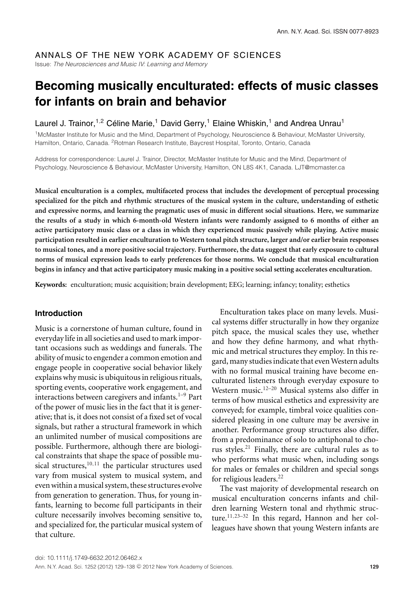## ANNALS OF THE NEW YORK ACADEMY OF SCIENCES

Issue: *The Neurosciences and Music IV: Learning and Memory*

# **Becoming musically enculturated: effects of music classes for infants on brain and behavior**

Laurel J. Trainor,<sup>1,2</sup> Céline Marie,<sup>1</sup> David Gerry,<sup>1</sup> Elaine Whiskin,<sup>1</sup> and Andrea Unrau<sup>1</sup>

1McMaster Institute for Music and the Mind, Department of Psychology, Neuroscience & Behaviour, McMaster University, Hamilton, Ontario, Canada. <sup>2</sup>Rotman Research Institute, Baycrest Hospital, Toronto, Ontario, Canada

Address for correspondence: Laurel J. Trainor, Director, McMaster Institute for Music and the Mind, Department of Psychology, Neuroscience & Behaviour, McMaster University, Hamilton, ON L8S 4K1, Canada. LJT@mcmaster.ca

**Musical enculturation is a complex, multifaceted process that includes the development of perceptual processing specialized for the pitch and rhythmic structures of the musical system in the culture, understanding of esthetic and expressive norms, and learning the pragmatic uses of music in different social situations. Here, we summarize the results of a study in which 6-month-old Western infants were randomly assigned to 6 months of either an active participatory music class or a class in which they experienced music passively while playing. Active music participation resulted in earlier enculturation to Western tonal pitch structure, larger and/or earlier brain responses to musical tones, and a more positive social trajectory. Furthermore, the data suggest that early exposure to cultural norms of musical expression leads to early preferences for those norms. We conclude that musical enculturation begins in infancy and that active participatory music making in a positive social setting accelerates enculturation.**

**Keywords:** enculturation; music acquisition; brain development; EEG; learning; infancy; tonality; esthetics

#### **Introduction**

Music is a cornerstone of human culture, found in everyday life in all societies and used to mark important occasions such as weddings and funerals. The ability of music to engender a common emotion and engage people in cooperative social behavior likely explains why music is ubiquitous in religious rituals, sporting events, cooperative work engagement, and interactions between caregivers and infants. $1-9$  Part of the power of music lies in the fact that it is generative; that is, it does not consist of a fixed set of vocal signals, but rather a structural framework in which an unlimited number of musical compositions are possible. Furthermore, although there are biological constraints that shape the space of possible musical structures, $10,11$  the particular structures used vary from musical system to musical system, and even within a musical system, these structures evolve from generation to generation. Thus, for young infants, learning to become full participants in their culture necessarily involves becoming sensitive to, and specialized for, the particular musical system of that culture.

Enculturation takes place on many levels. Musical systems differ structurally in how they organize pitch space, the musical scales they use, whether and how they define harmony, and what rhythmic and metrical structures they employ. In this regard, many studies indicate that even Western adults with no formal musical training have become enculturated listeners through everyday exposure to Western music.<sup>12–20</sup> Musical systems also differ in terms of how musical esthetics and expressivity are conveyed; for example, timbral voice qualities considered pleasing in one culture may be aversive in another. Performance group structures also differ, from a predominance of solo to antiphonal to chorus styles.<sup>21</sup> Finally, there are cultural rules as to who performs what music when, including songs for males or females or children and special songs for religious leaders.<sup>22</sup>

The vast majority of developmental research on musical enculturation concerns infants and children learning Western tonal and rhythmic structure.<sup>11,23-32</sup> In this regard, Hannon and her colleagues have shown that young Western infants are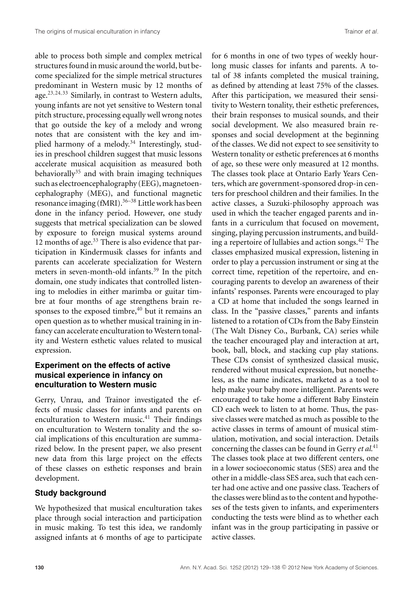able to process both simple and complex metrical structures found in music around the world, but become specialized for the simple metrical structures predominant in Western music by 12 months of age.<sup>23</sup>,24,<sup>33</sup> Similarly, in contrast to Western adults, young infants are not yet sensitive to Western tonal pitch structure, processing equally well wrong notes that go outside the key of a melody and wrong notes that are consistent with the key and implied harmony of a melody.<sup>34</sup> Interestingly, studies in preschool children suggest that music lessons accelerate musical acquisition as measured both behaviorally<sup>35</sup> and with brain imaging techniques such as electroencephalography (EEG), magnetoencephalography (MEG), and functional magnetic resonance imaging (fMRI).<sup>36–38</sup> Little work has been done in the infancy period. However, one study suggests that metrical specialization can be slowed by exposure to foreign musical systems around 12 months of age. $33$  There is also evidence that participation in Kindermusik classes for infants and parents can accelerate specialization for Western meters in seven-month-old infants.<sup>39</sup> In the pitch domain, one study indicates that controlled listening to melodies in either marimba or guitar timbre at four months of age strengthens brain responses to the exposed timbre, $40$  but it remains an open question as to whether musical training in infancy can accelerate enculturation to Western tonality and Western esthetic values related to musical expression.

## **Experiment on the effects of active musical experience in infancy on enculturation to Western music**

Gerry, Unrau, and Trainor investigated the effects of music classes for infants and parents on enculturation to Western music.<sup>41</sup> Their findings on enculturation to Western tonality and the social implications of this enculturation are summarized below. In the present paper, we also present new data from this large project on the effects of these classes on esthetic responses and brain development.

## **Study background**

We hypothesized that musical enculturation takes place through social interaction and participation in music making. To test this idea, we randomly assigned infants at 6 months of age to participate for 6 months in one of two types of weekly hourlong music classes for infants and parents. A total of 38 infants completed the musical training, as defined by attending at least 75% of the classes. After this participation, we measured their sensitivity to Western tonality, their esthetic preferences, their brain responses to musical sounds, and their social development. We also measured brain responses and social development at the beginning of the classes. We did not expect to see sensitivity to Western tonality or esthetic preferences at 6 months of age, so these were only measured at 12 months. The classes took place at Ontario Early Years Centers, which are government-sponsored drop-in centers for preschool children and their families. In the active classes, a Suzuki-philosophy approach was used in which the teacher engaged parents and infants in a curriculum that focused on movement, singing, playing percussion instruments, and building a repertoire of lullabies and action songs.<sup>42</sup> The classes emphasized musical expression, listening in order to play a percussion instrument or sing at the correct time, repetition of the repertoire, and encouraging parents to develop an awareness of their infants' responses. Parents were encouraged to play a CD at home that included the songs learned in class. In the "passive classes," parents and infants listened to a rotation of CDs from the Baby Einstein (The Walt Disney Co., Burbank, CA) series while the teacher encouraged play and interaction at art, book, ball, block, and stacking cup play stations. These CDs consist of synthesized classical music, rendered without musical expression, but nonetheless, as the name indicates, marketed as a tool to help make your baby more intelligent. Parents were encouraged to take home a different Baby Einstein CD each week to listen to at home. Thus, the passive classes were matched as much as possible to the active classes in terms of amount of musical stimulation, motivation, and social interaction. Details concerning the classes can be found in Gerry *et al.*<sup>41</sup> The classes took place at two different centers, one in a lower socioeconomic status (SES) area and the other in a middle-class SES area, such that each center had one active and one passive class. Teachers of the classes were blind as to the content and hypotheses of the tests given to infants, and experimenters conducting the tests were blind as to whether each infant was in the group participating in passive or active classes.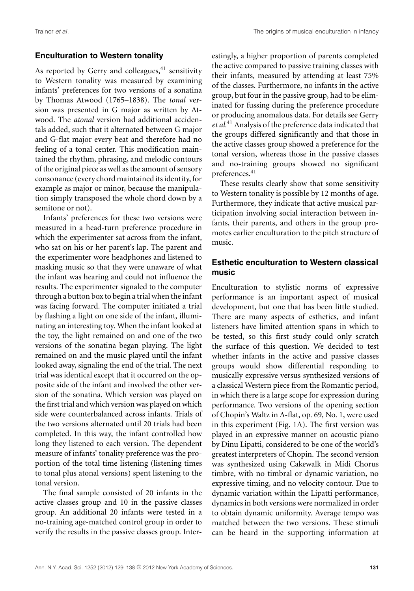#### **Enculturation to Western tonality**

As reported by Gerry and colleagues, $41$  sensitivity to Western tonality was measured by examining infants' preferences for two versions of a sonatina by Thomas Atwood (1765–1838). The *tonal* version was presented in G major as written by Atwood. The *atonal* version had additional accidentals added, such that it alternated between G major and G-flat major every beat and therefore had no feeling of a tonal center. This modification maintained the rhythm, phrasing, and melodic contours of the original piece as well as the amount of sensory consonance (every chord maintained its identity, for example as major or minor, because the manipulation simply transposed the whole chord down by a semitone or not).

Infants' preferences for these two versions were measured in a head-turn preference procedure in which the experimenter sat across from the infant, who sat on his or her parent's lap. The parent and the experimenter wore headphones and listened to masking music so that they were unaware of what the infant was hearing and could not influence the results. The experimenter signaled to the computer through a button box to begin a trial when the infant was facing forward. The computer initiated a trial by flashing a light on one side of the infant, illuminating an interesting toy. When the infant looked at the toy, the light remained on and one of the two versions of the sonatina began playing. The light remained on and the music played until the infant looked away, signaling the end of the trial. The next trial was identical except that it occurred on the opposite side of the infant and involved the other version of the sonatina. Which version was played on the first trial and which version was played on which side were counterbalanced across infants. Trials of the two versions alternated until 20 trials had been completed. In this way, the infant controlled how long they listened to each version. The dependent measure of infants' tonality preference was the proportion of the total time listening (listening times to tonal plus atonal versions) spent listening to the tonal version.

The final sample consisted of 20 infants in the active classes group and 10 in the passive classes group. An additional 20 infants were tested in a no-training age-matched control group in order to verify the results in the passive classes group. Interestingly, a higher proportion of parents completed the active compared to passive training classes with their infants, measured by attending at least 75% of the classes. Furthermore, no infants in the active group, but four in the passive group, had to be eliminated for fussing during the preference procedure or producing anomalous data. For details see Gerry *et al.*<sup>41</sup> Analysis of the preference data indicated that the groups differed significantly and that those in the active classes group showed a preference for the tonal version, whereas those in the passive classes and no-training groups showed no significant preferences.<sup>41</sup>

These results clearly show that some sensitivity to Western tonality is possible by 12 months of age. Furthermore, they indicate that active musical participation involving social interaction between infants, their parents, and others in the group promotes earlier enculturation to the pitch structure of music.

#### **Esthetic enculturation to Western classical music**

Enculturation to stylistic norms of expressive performance is an important aspect of musical development, but one that has been little studied. There are many aspects of esthetics, and infant listeners have limited attention spans in which to be tested, so this first study could only scratch the surface of this question. We decided to test whether infants in the active and passive classes groups would show differential responding to musically expressive versus synthesized versions of a classical Western piece from the Romantic period, in which there is a large scope for expression during performance. Two versions of the opening section of Chopin's Waltz in A-flat, op. 69, No. 1, were used in this experiment (Fig. 1A). The first version was played in an expressive manner on acoustic piano by Dinu Lipatti, considered to be one of the world's greatest interpreters of Chopin. The second version was synthesized using Cakewalk in Midi Chorus timbre, with no timbral or dynamic variation, no expressive timing, and no velocity contour. Due to dynamic variation within the Lipatti performance, dynamics in both versions were normalized in order to obtain dynamic uniformity. Average tempo was matched between the two versions. These stimuli can be heard in the supporting information at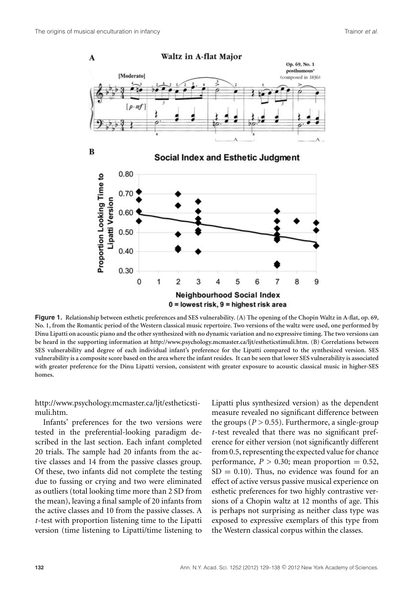

**Figure 1. Relationship between esthetic preferences and SES vulnerability. (A) The opening of the Chopin Waltz in A-flat, op. 69, No. 1, from the Romantic period of the Western classical music repertoire. Two versions of the waltz were used, one performed by Dinu Lipatti on acoustic piano and the other synthesized with no dynamic variation and no expressive timing. The two versions can be heard in the supporting information at http://www.psychology.mcmaster.ca/ljt/estheticstimuli.htm. (B) Correlations between SES vulnerability and degree of each individual infant's preference for the Lipatti compared to the synthesized version. SES vulnerability is a composite score based on the area where the infant resides. It can be seen that lower SES vulnerability is associated with greater preference for the Dinu Lipatti version, consistent with greater exposure to acoustic classical music in higher-SES homes.**

http://www.psychology.mcmaster.ca/ljt/estheticstimuli.htm.

Infants' preferences for the two versions were tested in the preferential-looking paradigm described in the last section. Each infant completed 20 trials. The sample had 20 infants from the active classes and 14 from the passive classes group. Of these, two infants did not complete the testing due to fussing or crying and two were eliminated as outliers (total looking time more than 2 SD from the mean), leaving a final sample of 20 infants from the active classes and 10 from the passive classes. A *t*-test with proportion listening time to the Lipatti version (time listening to Lipatti/time listening to

Lipatti plus synthesized version) as the dependent measure revealed no significant difference between the groups ( $P > 0.55$ ). Furthermore, a single-group *t*-test revealed that there was no significant preference for either version (not significantly different from 0.5, representing the expected value for chance performance,  $P > 0.30$ ; mean proportion = 0.52,  $SD = 0.10$ ). Thus, no evidence was found for an effect of active versus passive musical experience on esthetic preferences for two highly contrastive versions of a Chopin waltz at 12 months of age. This is perhaps not surprising as neither class type was exposed to expressive exemplars of this type from the Western classical corpus within the classes.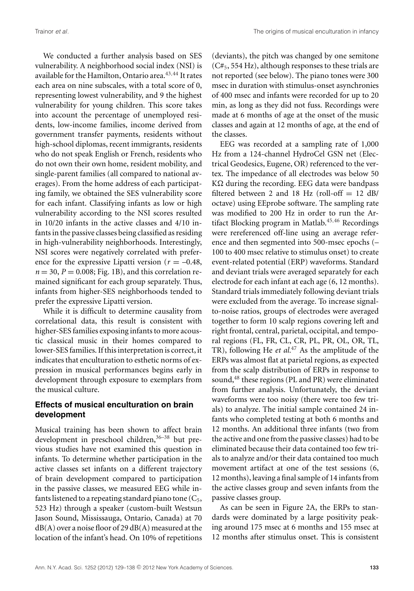We conducted a further analysis based on SES vulnerability. A neighborhood social index (NSI) is available for the Hamilton, Ontario area.<sup>43,44</sup> It rates each area on nine subscales, with a total score of 0, representing lowest vulnerability, and 9 the highest vulnerability for young children. This score takes into account the percentage of unemployed residents, low-income families, income derived from government transfer payments, residents without high-school diplomas, recent immigrants, residents who do not speak English or French, residents who do not own their own home, resident mobility, and single-parent families (all compared to national averages). From the home address of each participating family, we obtained the SES vulnerability score for each infant. Classifying infants as low or high vulnerability according to the NSI scores resulted in 10/20 infants in the active classes and 4/10 infants in the passive classes being classified as residing in high-vulnerability neighborhoods. Interestingly, NSI scores were negatively correlated with preference for the expressive Lipatti version ( $r = -0.48$ ,  $n = 30$ ,  $P = 0.008$ ; Fig. 1B), and this correlation remained significant for each group separately. Thus, infants from higher-SES neighborhoods tended to prefer the expressive Lipatti version.

While it is difficult to determine causality from correlational data, this result is consistent with higher-SES families exposing infants to more acoustic classical music in their homes compared to lower-SES families. If this interpretation is correct, it indicates that enculturation to esthetic norms of expression in musical performances begins early in development through exposure to exemplars from the musical culture.

## **Effects of musical enculturation on brain development**

Musical training has been shown to affect brain development in preschool children,<sup>36–38</sup> but previous studies have not examined this question in infants. To determine whether participation in the active classes set infants on a different trajectory of brain development compared to participation in the passive classes, we measured EEG while infants listened to a repeating standard piano tone  $(C_5,$ 523 Hz) through a speaker (custom-built Westsun Jason Sound, Mississauga, Ontario, Canada) at 70  $dB(A)$  over a noise floor of 29  $dB(A)$  measured at the location of the infant's head. On 10% of repetitions

(deviants), the pitch was changed by one semitone  $(C#_5, 554 Hz)$ , although responses to these trials are not reported (see below). The piano tones were 300 msec in duration with stimulus-onset asynchronies of 400 msec and infants were recorded for up to 20 min, as long as they did not fuss. Recordings were made at 6 months of age at the onset of the music classes and again at 12 months of age, at the end of the classes.

EEG was recorded at a sampling rate of 1,000 Hz from a 124-channel HydroCel GSN net (Electrical Geodesics, Eugene, OR) referenced to the vertex. The impedance of all electrodes was below 50 KΩ during the recording. EEG data were bandpass filtered between 2 and 18 Hz (roll-off  $= 12$  dB/ octave) using EEprobe software. The sampling rate was modified to 200 Hz in order to run the Artifact Blocking program in Matlab.<sup>45,46</sup> Recordings were rereferenced off-line using an average reference and then segmented into 500-msec epochs (– 100 to 400 msec relative to stimulus onset) to create event-related potential (ERP) waveforms. Standard and deviant trials were averaged separately for each electrode for each infant at each age (6, 12 months). Standard trials immediately following deviant trials were excluded from the average. To increase signalto-noise ratios, groups of electrodes were averaged together to form 10 scalp regions covering left and right frontal, central, parietal, occipital, and temporal regions (FL, FR, CL, CR, PL, PR, OL, OR, TL, TR), following He *et al.*<sup>47</sup> As the amplitude of the ERPs was almost flat at parietal regions, as expected from the scalp distribution of ERPs in response to sound,<sup>48</sup> these regions (PL and PR) were eliminated from further analysis. Unfortunately, the deviant waveforms were too noisy (there were too few trials) to analyze. The initial sample contained 24 infants who completed testing at both 6 months and 12 months. An additional three infants (two from the active and one from the passive classes) had to be eliminated because their data contained too few trials to analyze and/or their data contained too much movement artifact at one of the test sessions (6, 12 months), leaving a final sample of 14 infants from the active classes group and seven infants from the passive classes group.

As can be seen in Figure 2A, the ERPs to standards were dominated by a large positivity peaking around 175 msec at 6 months and 155 msec at 12 months after stimulus onset. This is consistent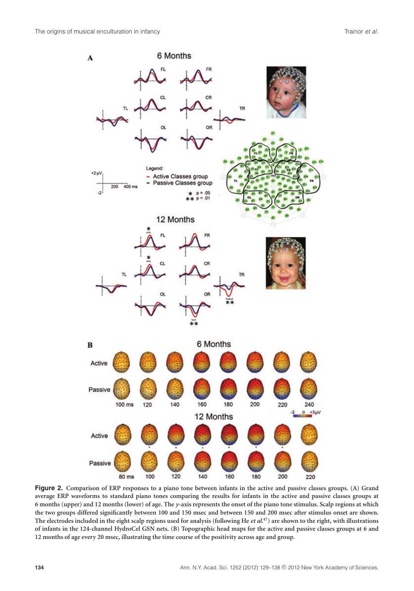

**Figure 2. Comparison of ERP responses to a piano tone between infants in the active and passive classes groups. (A) Grand average ERP waveforms to standard piano tones comparing the results for infants in the active and passive classes groups at 6 months (upper) and 12 months (lower) of age. The** *y***-axis represents the onset of the piano tone stimulus. Scalp regions at which the two groups differed significantly between 100 and 150 msec and between 150 and 200 msec after stimulus onset are shown. The electrodes included in the eight scalp regions used for analysis (following He** *et al.***47) are shown to the right, with illustrations of infants in the 124-channel HydroCel GSN nets. (B) Topographic head maps for the active and passive classes groups at 6 and 12 months of age every 20 msec, illustrating the time course of the positivity across age and group.**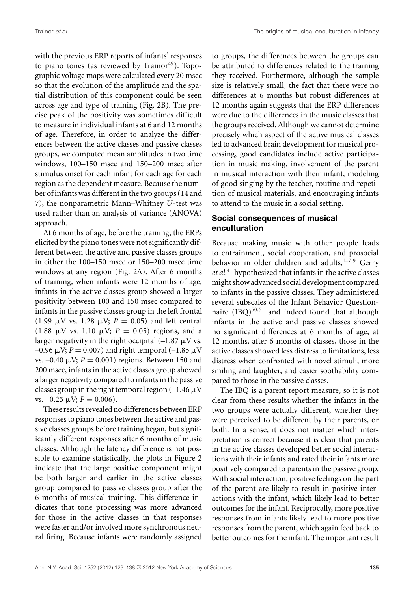with the previous ERP reports of infants' responses to piano tones (as reviewed by Trainor $49$ ). Topographic voltage maps were calculated every 20 msec so that the evolution of the amplitude and the spatial distribution of this component could be seen across age and type of training (Fig. 2B). The precise peak of the positivity was sometimes difficult to measure in individual infants at 6 and 12 months of age. Therefore, in order to analyze the differences between the active classes and passive classes groups, we computed mean amplitudes in two time windows, 100–150 msec and 150–200 msec after stimulus onset for each infant for each age for each region as the dependent measure. Because the number of infants was different in the two groups (14 and 7), the nonparametric Mann–Whitney *U*-test was used rather than an analysis of variance (ANOVA) approach.

At 6 months of age, before the training, the ERPs elicited by the piano tones were not significantly different between the active and passive classes groups in either the 100–150 msec or 150–200 msec time windows at any region (Fig. 2A). After 6 months of training, when infants were 12 months of age, infants in the active classes group showed a larger positivity between 100 and 150 msec compared to infants in the passive classes group in the left frontal (1.99  $\mu$ V vs. 1.28  $\mu$ V; *P* = 0.05) and left central (1.88  $\mu$ V vs. 1.10  $\mu$ V; *P* = 0.05) regions, and a larger negativity in the right occipital  $(-1.87 \mu V)$  vs.  $-0.96 \mu$ V;  $P = 0.007$ ) and right temporal  $(-1.85 \mu$ V vs.  $-0.40 \mu V$ ;  $P = 0.001$ ) regions. Between 150 and 200 msec, infants in the active classes group showed a larger negativity compared to infants in the passive classes group in the right temporal region  $(-1.46 \,\mathrm{\upmu V})$ vs.  $-0.25 \mu V$ ;  $P = 0.006$ ).

These results revealed no differences between ERP responses to piano tones between the active and passive classes groups before training began, but significantly different responses after 6 months of music classes. Although the latency difference is not possible to examine statistically, the plots in Figure 2 indicate that the large positive component might be both larger and earlier in the active classes group compared to passive classes group after the 6 months of musical training. This difference indicates that tone processing was more advanced for those in the active classes in that responses were faster and/or involved more synchronous neural firing. Because infants were randomly assigned

to groups, the differences between the groups can be attributed to differences related to the training they received. Furthermore, although the sample size is relatively small, the fact that there were no differences at 6 months but robust differences at 12 months again suggests that the ERP differences were due to the differences in the music classes that the groups received. Although we cannot determine precisely which aspect of the active musical classes led to advanced brain development for musical processing, good candidates include active participation in music making, involvement of the parent in musical interaction with their infant, modeling of good singing by the teacher, routine and repetition of musical materials, and encouraging infants to attend to the music in a social setting.

## **Social consequences of musical enculturation**

Because making music with other people leads to entrainment, social cooperation, and prosocial behavior in older children and adults, $1-7.9$  Gerry *et al.*<sup>41</sup> hypothesized that infants in the active classes might show advanced social development compared to infants in the passive classes. They administered several subscales of the Infant Behavior Questionnaire  $(IBQ)^{50,51}$  and indeed found that although infants in the active and passive classes showed no significant differences at 6 months of age, at 12 months, after 6 months of classes, those in the active classes showed less distress to limitations, less distress when confronted with novel stimuli, more smiling and laughter, and easier soothability compared to those in the passive classes.

The IBQ is a parent report measure, so it is not clear from these results whether the infants in the two groups were actually different, whether they were perceived to be different by their parents, or both. In a sense, it does not matter which interpretation is correct because it is clear that parents in the active classes developed better social interactions with their infants and rated their infants more positively compared to parents in the passive group. With social interaction, positive feelings on the part of the parent are likely to result in positive interactions with the infant, which likely lead to better outcomes for the infant. Reciprocally, more positive responses from infants likely lead to more positive responses from the parent, which again feed back to better outcomes for the infant. The important result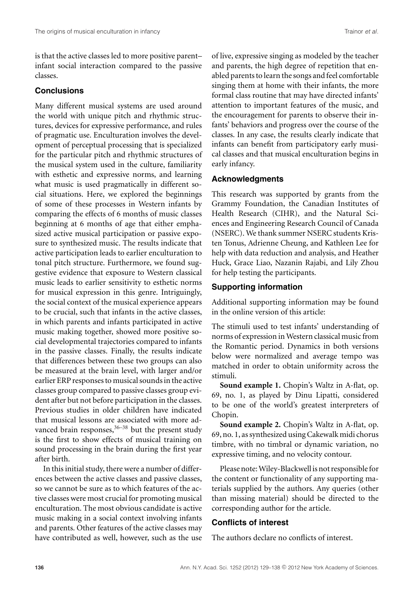is that the active classes led to more positive parent– infant social interaction compared to the passive classes.

#### **Conclusions**

Many different musical systems are used around the world with unique pitch and rhythmic structures, devices for expressive performance, and rules of pragmatic use. Enculturation involves the development of perceptual processing that is specialized for the particular pitch and rhythmic structures of the musical system used in the culture, familiarity with esthetic and expressive norms, and learning what music is used pragmatically in different social situations. Here, we explored the beginnings of some of these processes in Western infants by comparing the effects of 6 months of music classes beginning at 6 months of age that either emphasized active musical participation or passive exposure to synthesized music. The results indicate that active participation leads to earlier enculturation to tonal pitch structure. Furthermore, we found suggestive evidence that exposure to Western classical music leads to earlier sensitivity to esthetic norms for musical expression in this genre. Intriguingly, the social context of the musical experience appears to be crucial, such that infants in the active classes, in which parents and infants participated in active music making together, showed more positive social developmental trajectories compared to infants in the passive classes. Finally, the results indicate that differences between these two groups can also be measured at the brain level, with larger and/or earlier ERP responses to musical sounds in the active classes group compared to passive classes group evident after but not before participation in the classes. Previous studies in older children have indicated that musical lessons are associated with more advanced brain responses,  $36-38$  but the present study is the first to show effects of musical training on sound processing in the brain during the first year after birth.

In this initial study, there were a number of differences between the active classes and passive classes, so we cannot be sure as to which features of the active classes were most crucial for promoting musical enculturation. The most obvious candidate is active music making in a social context involving infants and parents. Other features of the active classes may have contributed as well, however, such as the use of live, expressive singing as modeled by the teacher and parents, the high degree of repetition that enabled parents to learn the songs and feel comfortable singing them at home with their infants, the more formal class routine that may have directed infants' attention to important features of the music, and the encouragement for parents to observe their infants' behaviors and progress over the course of the classes. In any case, the results clearly indicate that infants can benefit from participatory early musical classes and that musical enculturation begins in early infancy.

#### **Acknowledgments**

This research was supported by grants from the Grammy Foundation, the Canadian Institutes of Health Research (CIHR), and the Natural Sciences and Engineering Research Council of Canada (NSERC). We thank summer NSERC students Kristen Tonus, Adrienne Cheung, and Kathleen Lee for help with data reduction and analysis, and Heather Huck, Grace Liao, Nazanin Rajabi, and Lily Zhou for help testing the participants.

#### **Supporting information**

Additional supporting information may be found in the online version of this article:

The stimuli used to test infants' understanding of norms of expression in Western classical music from the Romantic period. Dynamics in both versions below were normalized and average tempo was matched in order to obtain uniformity across the stimuli.

**Sound example 1.** Chopin's Waltz in A-flat, op. 69, no. 1, as played by Dinu Lipatti, considered to be one of the world's greatest interpreters of Chopin.

**Sound example 2.** Chopin's Waltz in A-flat, op. 69, no. 1, as synthesized using Cakewalk midi chorus timbre, with no timbral or dynamic variation, no expressive timing, and no velocity contour.

Please note: Wiley-Blackwell is not responsible for the content or functionality of any supporting materials supplied by the authors. Any queries (other than missing material) should be directed to the corresponding author for the article.

## **Conflicts of interest**

The authors declare no conflicts of interest.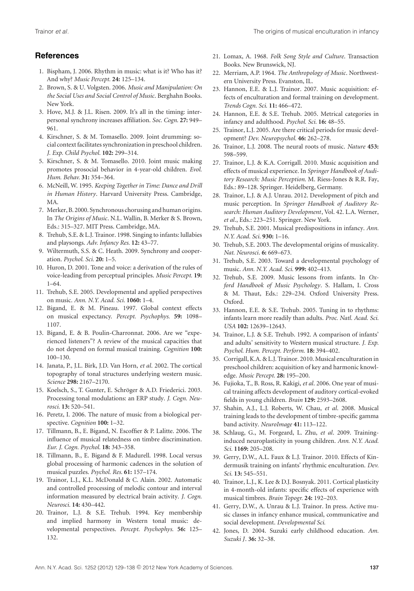#### **References**

- 1. Bispham, J. 2006. Rhythm in music: what is it? Who has it? And why? *Music Percept.* **24:** 125–134.
- 2. Brown, S. & U. Volgsten. 2006. *Music and Manipulation: On the Social Uses and Social Control of Music*. Berghahn Books. New York.
- 3. Hove, M.J. & J.L. Risen. 2009. It's all in the timing: interpersonal synchrony increases affiliation. *Soc. Cogn*. **27:** 949– 961.
- 4. Kirschner, S. & M. Tomasello. 2009. Joint drumming: social context facilitates synchronization in preschool children. *J. Exp. Child Psychol.* **102:** 299–314.
- 5. Kirschner, S. & M. Tomasello. 2010. Joint music making promotes prosocial behavior in 4-year-old children. *Evol. Hum. Behav.* **31:** 354–364.
- 6. McNeill, W. 1995. *Keeping Together in Time: Dance and Drill in Human History*. Harvard University Press. Cambridge, MA.
- 7. Merker, B. 2000. Synchronous chorusing and human origins. In *The Origins of Music*. N.L. Wallin, B. Merker & S. Brown, Eds.: 315–327. MIT Press. Cambridge, MA.
- 8. Trehub, S.E. & L.J. Trainor. 1998. Singing to infants: lullabies and playsongs. *Adv. Infancy Res.* **12:** 43–77.
- 9. Wiltermuth, S.S. & C. Heath. 2009. Synchrony and cooperation. *Psychol. Sci.* **20:** 1–5.
- 10. Huron, D. 2001. Tone and voice: a derivation of the rules of voice-leading from perceptual principles. *Music Percept.* **19:** 1–64.
- 11. Trehub, S.E. 2005. Developmental and applied perspectives on music. *Ann. N.Y. Acad. Sci.* **1060:** 1–4.
- 12. Bigand, E. & M. Pineau. 1997. Global context effects on musical expectancy. *Percept. Psychophys.* **59:** 1098– 1107.
- 13. Bigand, E. & B. Poulin-Charronnat. 2006. Are we "experienced listeners"? A review of the musical capacities that do not depend on formal musical training. *Cognition* **100:** 100–130.
- 14. Janata, P., J.L. Birk, J.D. Van Horn, *et al*. 2002. The cortical topography of tonal structures underlying western music. *Science* **298:** 2167–2170.
- 15. Koelsch, S., T. Gunter, E. Schröger & A.D. Friederici. 2003. Processing tonal modulations: an ERP study. *J. Cogn. Neurosci.* **13:** 520–541.
- 16. Peretz, I. 2006. The nature of music from a biological perspective. *Cognition* **100:** 1–32.
- 17. Tillmann, B., E. Bigand, N. Escoffier & P. Lalitte. 2006. The influence of musical relatedness on timbre discrimination. *Eur. J. Cogn. Psychol.* **18:** 343–358.
- 18. Tillmann, B., E. Bigand & F. Madurell. 1998. Local versus global processing of harmonic cadences in the solution of musical puzzles. *Psychol. Res.* **61:** 157–174.
- 19. Trainor, L.J., K.L. McDonald & C. Alain. 2002. Automatic and controlled processing of melodic contour and interval information measured by electrical brain activity. *J. Cogn. Neurosci.* **14:** 430–442.
- 20. Trainor, L.J. & S.E. Trehub. 1994. Key membership and implied harmony in Western tonal music: developmental perspectives. *Percept. Psychophys.* **56:** 125– 132.
- 21. Lomax, A. 1968. *Folk Song Style and Culture*. Transaction Books. New Brunswick, NJ.
- 22. Merriam, A.P. 1964. *The Anthropology of Music*. Northwestern University Press. Evanston, IL.
- 23. Hannon, E.E. & L.J. Trainor. 2007. Music acquisition: effects of enculturation and formal training on development. *Trends Cogn. Sci.* **11:** 466–472.
- 24. Hannon, E.E. & S.E. Trehub. 2005. Metrical categories in infancy and adulthood. *Psychol. Sci.* **16:** 48–55.
- 25. Trainor, L.J. 2005. Are there critical periods for music development? *Dev. Neuropsychol.* **46:** 262–278.
- 26. Trainor, L.J. 2008. The neural roots of music. *Nature* **453:** 598–599.
- 27. Trainor, L.J. & K.A. Corrigall. 2010. Music acquisition and effects of musical experience. In *Springer Handbook of Auditory Research: Music Perception*. M. Riess-Jones & R.R. Fay, Eds.: 89–128. Springer. Heidelberg, Germany.
- 28. Trainor, L.J. & A.J. Unrau. 2012. Development of pitch and music perception. In *Springer Handbook of Auditory Research: Human Auditory Development*, Vol. 42. L.A. Werner, *et al*., Eds.: 223–251. Springer. New York.
- 29. Trehub, S.E. 2001. Musical predispositions in infancy. *Ann. N.Y. Acad. Sci.* **930:** 1–16.
- 30. Trehub, S.E. 2003. The developmental origins of musicality. *Nat. Neurosci*. **6:** 669–673.
- 31. Trehub, S.E. 2003. Toward a developmental psychology of music. *Ann. N.Y. Acad. Sci.* **999:** 402–413.
- 32. Trehub, S.E. 2009. Music lessons from infants. In *Oxford Handbook of Music Psychology*. S. Hallam, I. Cross & M. Thaut, Eds.: 229–234. Oxford University Press. Oxford.
- 33. Hannon, E.E. & S.E. Trehub. 2005. Tuning in to rhythms: infants learn more readily than adults. *Proc. Natl. Acad. Sci. USA* **102:** 12639–12643.
- 34. Trainor, L.J. & S.E. Trehub. 1992. A comparison of infants' and adults' sensitivity to Western musical structure. *J. Exp. Psychol. Hum. Percept. Perform.* **18:** 394–402.
- 35. Corrigall, K.A. & L.J. Trainor. 2010. Musical enculturation in preschool children: acquisition of key and harmonic knowledge. *Music Percept.* **28:** 195–200.
- 36. Fujioka, T., B. Ross, R. Kakigi, *et al*. 2006. One year of musical training affects development of auditory cortical-evoked fields in young children. *Brain* **129:** 2593–2608.
- 37. Shahin, A.J., L.J. Roberts, W. Chau, *et al*. 2008. Musical training leads to the development of timbre-specific gamma band activity. *NeuroImage* **41:** 113–122.
- 38. Schlaug, G., M. Forgeard, L. Zhu, *et al*. 2009. Traininginduced neuroplasticity in young children. *Ann. N.Y. Acad. Sci.* **1169:** 205–208.
- 39. Gerry, D.W., A.L. Faux & L.J. Trainor. 2010. Effects of Kindermusik training on infants' rhythmic enculturation. *Dev. Sci.* **13:** 545–551.
- 40. Trainor, L.J., K. Lee & D.J. Bosnyak. 2011. Cortical plasticity in 4-month-old infants: specific effects of experience with musical timbres. *Brain Topogr.* **24:** 192–203.
- 41. Gerry, D.W., A. Unrau & L.J. Trainor. In press. Active music classes in infancy enhance musical, communicative and social development. *Developmental Sci.*
- 42. Jones, D. 2004. Suzuki early childhood education. *Am. Suzuki J*. **36:** 32–38.